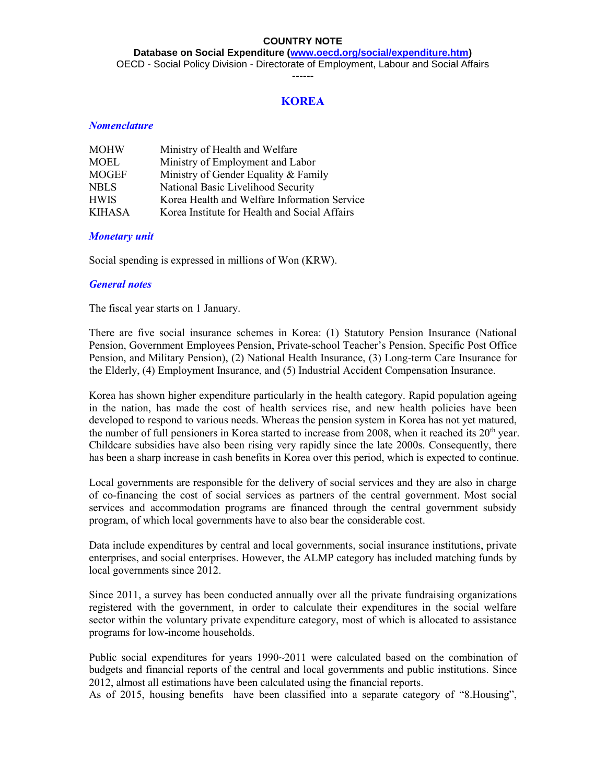**Database on Social Expenditure [\(www.oecd.org/social/expenditure.htm\)](http://www.oecd.org/social/expenditure.htm)** OECD - Social Policy Division - Directorate of Employment, Labour and Social Affairs

------

# **KOREA**

## *Nomenclature*

| <b>MOHW</b>   | Ministry of Health and Welfare                |
|---------------|-----------------------------------------------|
| <b>MOEL</b>   | Ministry of Employment and Labor              |
| <b>MOGEF</b>  | Ministry of Gender Equality & Family          |
| NBLS          | National Basic Livelihood Security            |
| <b>HWIS</b>   | Korea Health and Welfare Information Service  |
| <b>KIHASA</b> | Korea Institute for Health and Social Affairs |

## *Monetary unit*

Social spending is expressed in millions of Won (KRW).

## *General notes*

The fiscal year starts on 1 January.

There are five social insurance schemes in Korea: (1) Statutory Pension Insurance (National Pension, Government Employees Pension, Private-school Teacher's Pension, Specific Post Office Pension, and Military Pension), (2) National Health Insurance, (3) Long-term Care Insurance for the Elderly, (4) Employment Insurance, and (5) Industrial Accident Compensation Insurance.

Korea has shown higher expenditure particularly in the health category. Rapid population ageing in the nation, has made the cost of health services rise, and new health policies have been developed to respond to various needs. Whereas the pension system in Korea has not yet matured, the number of full pensioners in Korea started to increase from 2008, when it reached its  $20<sup>th</sup>$  year. Childcare subsidies have also been rising very rapidly since the late 2000s. Consequently, there has been a sharp increase in cash benefits in Korea over this period, which is expected to continue.

Local governments are responsible for the delivery of social services and they are also in charge of co-financing the cost of social services as partners of the central government. Most social services and accommodation programs are financed through the central government subsidy program, of which local governments have to also bear the considerable cost.

Data include expenditures by central and local governments, social insurance institutions, private enterprises, and social enterprises. However, the ALMP category has included matching funds by local governments since 2012.

Since 2011, a survey has been conducted annually over all the private fundraising organizations registered with the government, in order to calculate their expenditures in the social welfare sector within the voluntary private expenditure category, most of which is allocated to assistance programs for low-income households.

Public social expenditures for years 1990~2011 were calculated based on the combination of budgets and financial reports of the central and local governments and public institutions. Since 2012, almost all estimations have been calculated using the financial reports.

As of 2015, housing benefits have been classified into a separate category of "8.Housing",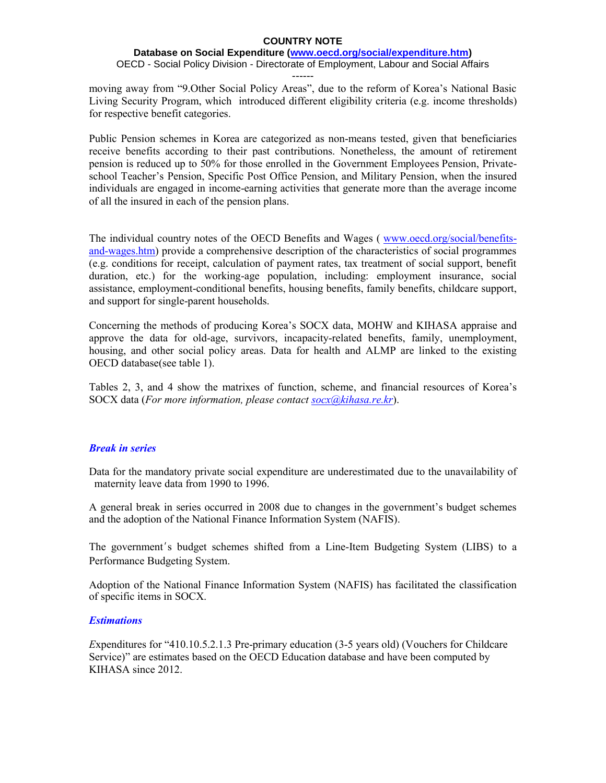### **Database on Social Expenditure [\(www.oecd.org/social/expenditure.htm\)](http://www.oecd.org/social/expenditure.htm)** OECD - Social Policy Division - Directorate of Employment, Labour and Social Affairs

------

moving away from "9.Other Social Policy Areas", due to the reform of Korea's National Basic Living Security Program, which introduced different eligibility criteria (e.g. income thresholds) for respective benefit categories.

Public Pension schemes in Korea are categorized as non-means tested, given that beneficiaries receive benefits according to their past contributions. Nonetheless, the amount of retirement pension is reduced up to 50% for those enrolled in the Government Employees Pension, Privateschool Teacher's Pension, Specific Post Office Pension, and Military Pension, when the insured individuals are engaged in income-earning activities that generate more than the average income of all the insured in each of the pension plans.

The individual country notes of the OECD Benefits and Wages ( [www.oecd.org/social/benefits](http://www.oecd.org/social/benefits-and-wages.htm)[and-wages.htm\)](http://www.oecd.org/social/benefits-and-wages.htm) provide a comprehensive description of the characteristics of social programmes (e.g. conditions for receipt, calculation of payment rates, tax treatment of social support, benefit duration, etc.) for the working-age population, including: employment insurance, social assistance, employment-conditional benefits, housing benefits, family benefits, childcare support, and support for single-parent households.

Concerning the methods of producing Korea's SOCX data, MOHW and KIHASA appraise and approve the data for old-age, survivors, incapacity-related benefits, family, unemployment, housing, and other social policy areas. Data for health and ALMP are linked to the existing OECD database(see table 1).

Tables 2, 3, and 4 show the matrixes of function, scheme, and financial resources of Korea's SOCX data (*For more information, please contac[t socx@kihasa.re.kr](mailto:socx@kihasa.re.kr)*).

## *Break in series*

Data for the mandatory private social expenditure are underestimated due to the unavailability of maternity leave data from 1990 to 1996.

A general break in series occurred in 2008 due to changes in the government's budget schemes and the adoption of the National Finance Information System (NAFIS).

The government's budget schemes shifted from a Line-Item Budgeting System (LIBS) to a Performance Budgeting System.

Adoption of the National Finance Information System (NAFIS) has facilitated the classification of specific items in SOCX.

## *Estimations*

*E*xpenditures for "410.10.5.2.1.3 Pre-primary education (3-5 years old) (Vouchers for Childcare Service)" are estimates based on the OECD Education database and have been computed by KIHASA since 2012.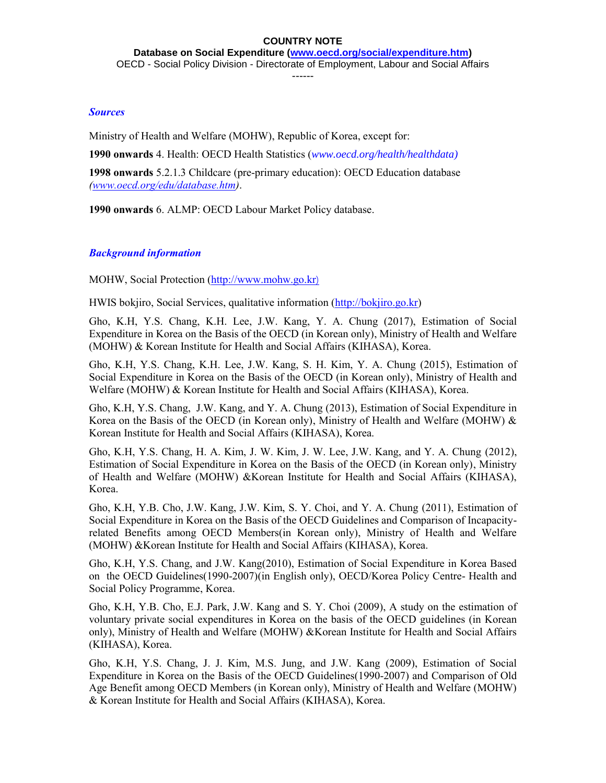### ------

# *Sources*

Ministry of Health and Welfare (MOHW), Republic of Korea, except for:

**1990 onwards** 4. Health: OECD Health Statistics (*[www.oecd.org/health/healthdata\)](http://www.oecd.org/health/healthdata)*

**1998 onwards** 5.2.1.3 Childcare (pre-primary education): OECD Education database *[\(www.oecd.org/edu/database.htm\)](http://www.oecd.org/edu/database.htm)*.

**1990 onwards** 6. ALMP: OECD Labour Market Policy database.

# *Background information*

MOHW, Social Protection [\(http://www.mohw.go.kr](http://www.mohw.go.kr)/))

HWIS bokjiro, Social Services, qualitative information [\(http://bokjiro.go.kr\)](http://bokjiro.go.kr/)

Gho, K.H, Y.S. Chang, K.H. Lee, J.W. Kang, Y. A. Chung (2017), Estimation of Social Expenditure in Korea on the Basis of the OECD (in Korean only), Ministry of Health and Welfare (MOHW) & Korean Institute for Health and Social Affairs (KIHASA), Korea.

Gho, K.H, Y.S. Chang, K.H. Lee, J.W. Kang, S. H. Kim, Y. A. Chung (2015), Estimation of Social Expenditure in Korea on the Basis of the OECD (in Korean only), Ministry of Health and Welfare (MOHW) & Korean Institute for Health and Social Affairs (KIHASA), Korea.

Gho, K.H, Y.S. Chang, J.W. Kang, and Y. A. Chung (2013), Estimation of Social Expenditure in Korea on the Basis of the OECD (in Korean only), Ministry of Health and Welfare (MOHW) & Korean Institute for Health and Social Affairs (KIHASA), Korea.

Gho, K.H, Y.S. Chang, H. A. Kim, J. W. Kim, J. W. Lee, J.W. Kang, and Y. A. Chung (2012), Estimation of Social Expenditure in Korea on the Basis of the OECD (in Korean only), Ministry of Health and Welfare (MOHW) &Korean Institute for Health and Social Affairs (KIHASA), Korea.

Gho, K.H, Y.B. Cho, J.W. Kang, J.W. Kim, S. Y. Choi, and Y. A. Chung (2011), Estimation of Social Expenditure in Korea on the Basis of the OECD Guidelines and Comparison of Incapacityrelated Benefits among OECD Members(in Korean only), Ministry of Health and Welfare (MOHW) &Korean Institute for Health and Social Affairs (KIHASA), Korea.

Gho, K.H, Y.S. Chang, and J.W. Kang(2010), Estimation of Social Expenditure in Korea Based on the OECD Guidelines(1990-2007)(in English only), OECD/Korea Policy Centre- Health and Social Policy Programme, Korea.

Gho, K.H, Y.B. Cho, E.J. Park, J.W. Kang and S. Y. Choi (2009), A study on the estimation of voluntary private social expenditures in Korea on the basis of the OECD guidelines (in Korean only), Ministry of Health and Welfare (MOHW) &Korean Institute for Health and Social Affairs (KIHASA), Korea.

Gho, K.H, Y.S. Chang, J. J. Kim, M.S. Jung, and J.W. Kang (2009), Estimation of Social Expenditure in Korea on the Basis of the OECD Guidelines(1990-2007) and Comparison of Old Age Benefit among OECD Members (in Korean only), Ministry of Health and Welfare (MOHW) & Korean Institute for Health and Social Affairs (KIHASA), Korea.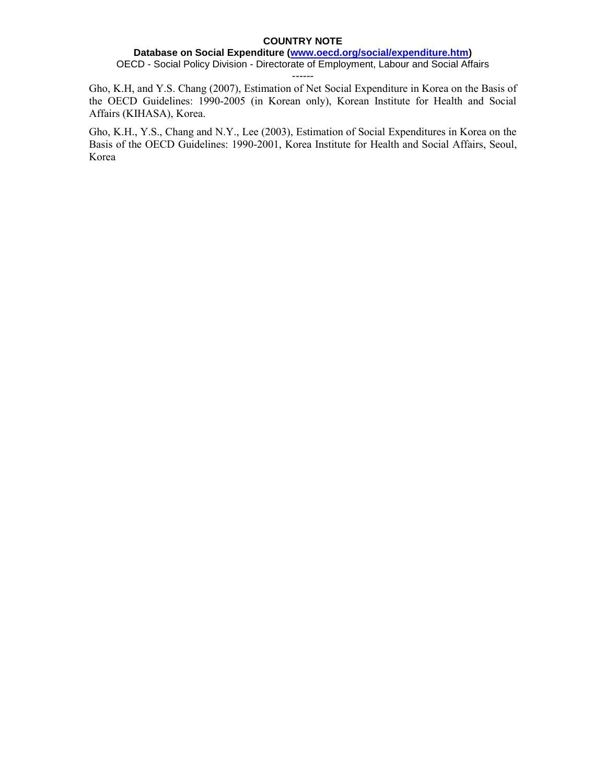## **Database on Social Expenditure [\(www.oecd.org/social/expenditure.htm\)](http://www.oecd.org/social/expenditure.htm)** OECD - Social Policy Division - Directorate of Employment, Labour and Social Affairs

------

Gho, K.H, and Y.S. Chang (2007), Estimation of Net Social Expenditure in Korea on the Basis of the OECD Guidelines: 1990-2005 (in Korean only), Korean Institute for Health and Social Affairs (KIHASA), Korea.

Gho, K.H., Y.S., Chang and N.Y., Lee (2003), Estimation of Social Expenditures in Korea on the Basis of the OECD Guidelines: 1990-2001, Korea Institute for Health and Social Affairs, Seoul, Korea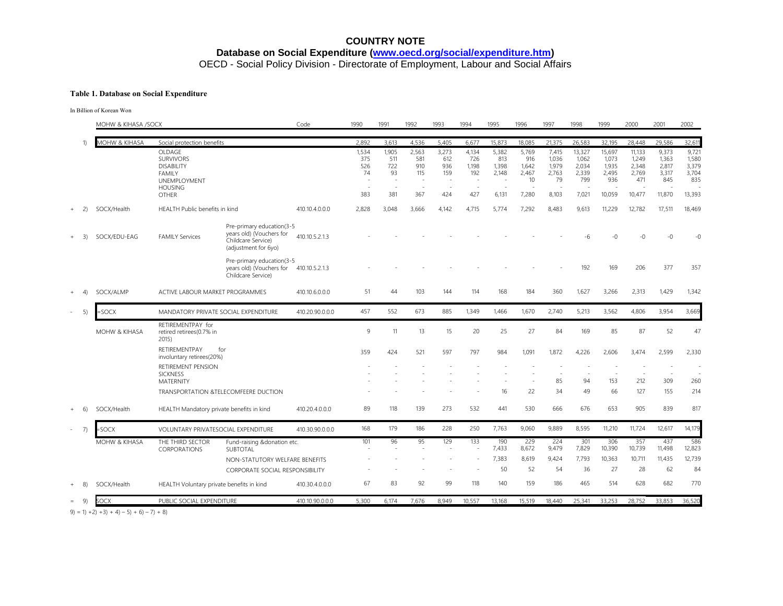# **COUNTRY NOTE Database on Social Expenditure [\(www.oecd.org/social/expenditure.htm\)](http://www.oecd.org/social/expenditure.htm)** OECD - Social Policy Division - Directorate of Employment, Labour and Social Affairs

#### **Table 1. Database on Social Expenditure**

In Billion of Korean Won

|           |                  | MOHW & KIHASA /SOCX      |                                                                                                                           |                                                                                                     | Code            | 1990                             | 1991                                                         | 1992                              | 1993                              | 1994                                | 1995                                    | 1996                                          | 1997                                            | 1998                                              | 1999                                               | 2000                                               | 2001                                              | 2002                                              |
|-----------|------------------|--------------------------|---------------------------------------------------------------------------------------------------------------------------|-----------------------------------------------------------------------------------------------------|-----------------|----------------------------------|--------------------------------------------------------------|-----------------------------------|-----------------------------------|-------------------------------------|-----------------------------------------|-----------------------------------------------|-------------------------------------------------|---------------------------------------------------|----------------------------------------------------|----------------------------------------------------|---------------------------------------------------|---------------------------------------------------|
|           |                  | MOHW & KIHASA            | Social protection benefits                                                                                                |                                                                                                     |                 | 2,892                            | 3,613                                                        | 4,536                             | 5,405                             | 6,677                               | 15,873                                  | 18,085                                        | 21,375                                          | 26,583                                            | 32,195                                             | 28,448                                             | 29,586                                            | 32,611                                            |
|           |                  |                          | OLDAGE<br><b>SURVIVORS</b><br><b>DISABILITY</b><br><b>FAMILY</b><br><b>UNEMPLOYMENT</b><br><b>HOUSING</b><br><b>OTHER</b> |                                                                                                     |                 | 1,534<br>375<br>526<br>74<br>383 | 1,905<br>511<br>722<br>93<br>$\sim$<br>$\overline{a}$<br>381 | 2,563<br>581<br>910<br>115<br>367 | 3,273<br>612<br>936<br>159<br>424 | 4,134<br>726<br>1,198<br>192<br>427 | 5,382<br>813<br>1,398<br>2,148<br>6.131 | 5,769<br>916<br>1,642<br>2,467<br>10<br>7,280 | 7,415<br>1,036<br>1,979<br>2,763<br>79<br>8,103 | 13,327<br>1,062<br>2,034<br>2,339<br>799<br>7,021 | 15,697<br>1,073<br>1,935<br>2,495<br>936<br>10,059 | 11,133<br>1,249<br>2,348<br>2,769<br>471<br>10,477 | 9,373<br>1.363<br>2,817<br>3,317<br>845<br>11,870 | 9,721<br>1,580<br>3,379<br>3,704<br>835<br>13,393 |
| $\ddot{}$ | 2)               | SOCX/Health              | HEALTH Public benefits in kind                                                                                            |                                                                                                     | 410.10.4.0.0.0  | 2,828                            | 3,048                                                        | 3,666                             | 4,142                             | 4,715                               | 5,774                                   | 7,292                                         | 8,483                                           | 9,613                                             | 11,229                                             | 12,782                                             | 17,511                                            | 18,469                                            |
|           | 3)               | SOCX/EDU-EAG             | <b>FAMILY Services</b>                                                                                                    | Pre-primary education(3-5<br>years old) (Vouchers for<br>Childcare Service)<br>(adjustment for 6yo) | 410.10.5.2.1.3  |                                  |                                                              |                                   |                                   |                                     |                                         |                                               |                                                 | -6                                                | $-0$                                               | -0                                                 | -0                                                | $-0$                                              |
|           |                  |                          |                                                                                                                           | Pre-primary education(3-5<br>years old) (Vouchers for<br>Childcare Service)                         | 410.10.5.2.1.3  |                                  |                                                              |                                   |                                   |                                     |                                         |                                               |                                                 | 192                                               | 169                                                | 206                                                | 377                                               | 357                                               |
| $\ddot{}$ | 4)               | SOCX/ALMP                | ACTIVE LABOUR MARKET PROGRAMMES                                                                                           |                                                                                                     | 410.10.6.0.0.0  | 51                               | 44                                                           | 103                               | 144                               | 114                                 | 168                                     | 184                                           | 360                                             | 1,627                                             | 3,266                                              | 2,313                                              | 1,429                                             | 1,342                                             |
|           | 5)               | =SOCX                    | MANDATORY PRIVATE SOCIAL EXPENDITURE                                                                                      |                                                                                                     | 410.20.90.0.0.0 | 457                              | 552                                                          | 673                               | 885                               | 1,349                               | 1,466                                   | 1,670                                         | 2,740                                           | 5,213                                             | 3,562                                              | 4,806                                              | 3,954                                             | 3,669                                             |
|           |                  | MOHW & KIHASA            | RETIREMENTPAY for<br>retired retirees(0.7% in<br>2015)                                                                    |                                                                                                     |                 | 9                                | 11                                                           | 13                                | 15                                | 20                                  | 25                                      | 27                                            | 84                                              | 169                                               | 85                                                 | 87                                                 | 52                                                | 47                                                |
|           |                  |                          | RETIREMENTPAY<br>involuntary retirees(20%)                                                                                | for                                                                                                 |                 | 359                              | 424                                                          | 521                               | 597                               | 797                                 | 984                                     | 1,091                                         | 1,872                                           | 4,226                                             | 2,606                                              | 3,474                                              | 2,599                                             | 2,330                                             |
|           |                  |                          | <b>RETIREMENT PENSION</b><br><b>SICKNESS</b><br><b>MATERNITY</b>                                                          |                                                                                                     |                 |                                  |                                                              |                                   |                                   |                                     |                                         |                                               | 85                                              | 94                                                | 153                                                | 212                                                | 309                                               | 260                                               |
|           |                  |                          |                                                                                                                           | TRANSPORTATION &TELECOMFEERE DUCTION                                                                |                 |                                  |                                                              |                                   |                                   |                                     | 16                                      | 22                                            | 34                                              | 49                                                | 66                                                 | 127                                                | 155                                               | 214                                               |
| $+$       | -6)              | SOCX/Health              | HEALTH Mandatory private benefits in kind                                                                                 |                                                                                                     | 410.20.4.0.0.0  | 89                               | 118                                                          | 139                               | 273                               | 532                                 | 441                                     | 530                                           | 666                                             | 676                                               | 653                                                | 905                                                | 839                                               | 817                                               |
|           | $\left(7\right)$ | $=$ SOCX                 | VOLUNTARY PRIVATESOCIAL EXPENDITURE                                                                                       |                                                                                                     | 410.30.90.0.0.0 | 168                              | 179                                                          | 186                               | 228                               | 250                                 | 7,763                                   | 9,060                                         | 9,889                                           | 8,595                                             | 11,210                                             | 11,724                                             | 12,617                                            | 14,179                                            |
|           |                  | <b>MOHW &amp; KIHASA</b> | THE THIRD SECTOR<br>CORPORATIONS                                                                                          | Fund-raising &donation etc.<br>SUBTOTAL                                                             |                 | 101                              | 96                                                           | 95                                | 129                               | 133                                 | 190<br>7,433                            | 229<br>8,672                                  | 224<br>9,479                                    | 301<br>7,829                                      | 306<br>10,390                                      | 357<br>10,739                                      | 437<br>11,498                                     | 586<br>12,823                                     |
|           |                  |                          |                                                                                                                           | NON-STATUTORY WELFARE BENEFITS                                                                      |                 |                                  |                                                              |                                   |                                   |                                     | 7.383                                   | 8,619                                         | 9,424                                           | 7,793                                             | 10,363                                             | 10.711                                             | 11,435                                            | 12,739                                            |
|           |                  |                          |                                                                                                                           | <b>CORPORATE SOCIAL RESPONSIBILITY</b>                                                              |                 |                                  |                                                              |                                   |                                   |                                     | 50                                      | 52                                            | 54                                              | 36                                                | 27                                                 | 28                                                 | 62                                                | 84                                                |
|           | 8)               | SOCX/Health              | HEALTH Voluntary private benefits in kind                                                                                 |                                                                                                     | 410.30.4.0.0.0  | 67                               | 83                                                           | 92                                | 99                                | 118                                 | 140                                     | 159                                           | 186                                             | 465                                               | 514                                                | 628                                                | 682                                               | 770                                               |
| $=$       | 9)               | SOCX                     | PUBLIC SOCIAL EXPENDITURE                                                                                                 |                                                                                                     | 410.10.90.0.0.0 | 5,300                            | 6,174                                                        | 7,676                             | 8.949                             | 10,557                              | 13,168                                  | 15,519                                        | 18,440                                          | 25,341                                            | 33,253                                             | 28,752                                             | 33,853                                            | 36,520                                            |

 $(9) = 1 + 2 + 3 + 4 - 5 + 6 - 7 + 8$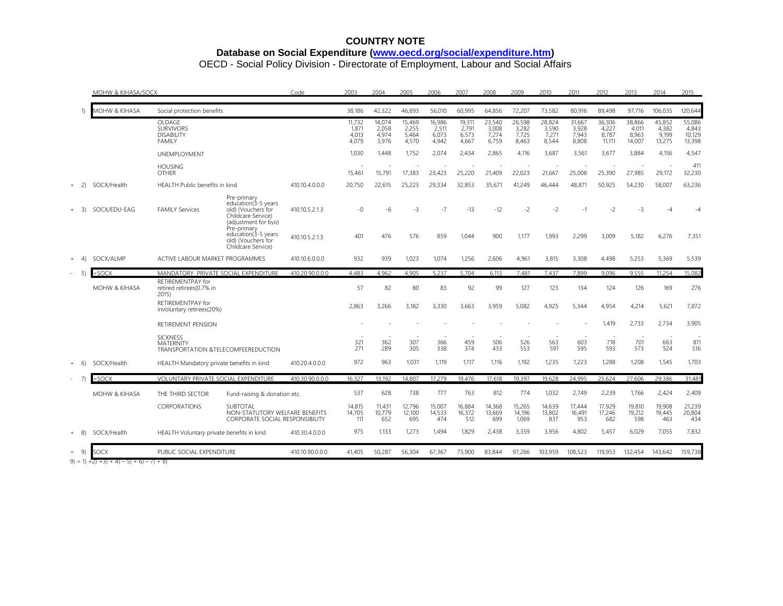# **COUNTRY NOTE Database on Social Expenditure [\(www.oecd.org/social/expenditure.htm\)](http://www.oecd.org/social/expenditure.htm)**

OECD - Social Policy Division - Directorate of Employment, Labour and Social Affairs

|            | <b>MOHW &amp; KIHASA/SOCX</b>   |                                                                             | Code                                                                                                                                                                                      | 2003                             | 2004                              | 2005                              | 2006                              | 2007                              | 2008                              | 2009                              | 2010                              | 2011                              | 2012                              | 2013                               | 2014                               | 2015                               |                                     |
|------------|---------------------------------|-----------------------------------------------------------------------------|-------------------------------------------------------------------------------------------------------------------------------------------------------------------------------------------|----------------------------------|-----------------------------------|-----------------------------------|-----------------------------------|-----------------------------------|-----------------------------------|-----------------------------------|-----------------------------------|-----------------------------------|-----------------------------------|------------------------------------|------------------------------------|------------------------------------|-------------------------------------|
| 1)         | <b><i>AOHW &amp; KIHASA</i></b> | Social protection benefits                                                  |                                                                                                                                                                                           |                                  | 38,186                            | 42,322                            | 46,893                            | 56,010                            | 60,995                            | 64,856                            | 72,207                            | 73,582                            | 80,916                            | 89,498                             | 97,716                             | 106,035                            | 120,644                             |
|            |                                 | OLDAGE<br><b>SURVIVORS</b><br><b>DISABILITY</b><br><b>FAMILY</b>            |                                                                                                                                                                                           |                                  | 11,732<br>1.871<br>4.013<br>4,079 | 14,074<br>2.058<br>4.974<br>3.976 | 15,469<br>2,255<br>5.464<br>4,570 | 16,986<br>2,511<br>6,073<br>4,942 | 19,311<br>2.791<br>6.573<br>4,667 | 23,540<br>3,008<br>7,274<br>6,759 | 26,598<br>3,282<br>7,725<br>8.463 | 28,824<br>3,590<br>7,271<br>8,544 | 31,667<br>3,928<br>7.943<br>8,808 | 36,306<br>4,227<br>8.787<br>11,111 | 38,866<br>4.011<br>8.963<br>14,007 | 45,852<br>4.382<br>9.199<br>13,275 | 55,086<br>4,843<br>10,129<br>13,398 |
|            |                                 | UNEMPLOYMENT                                                                |                                                                                                                                                                                           |                                  | 1,030                             | 1.448                             | 1,752                             | 2,074                             | 2,434                             | 2,865                             | 4.116                             | 3,687                             | 3,561                             | 3,677                              | 3,884                              | 4,156                              | 4,547                               |
|            |                                 | <b>HOUSING</b><br><b>OTHER</b>                                              |                                                                                                                                                                                           |                                  | 15,461                            | 15,791                            | 17,383                            | 23,423                            | 25,220                            | 21,409                            | 22,023                            | 21,667                            | 25,008                            | 25,390                             | 27,985                             | 29,172                             | 411<br>32,230                       |
| 2)<br>$+$  | SOCX/Health                     | HEALTH Public benefits in kind                                              |                                                                                                                                                                                           | 410.10.4.0.0.0                   | 20,750                            | 22,615                            | 25,223                            | 29,334                            | 32,853                            | 35,671                            | 41,249                            | 46,444                            | 48,871                            | 50,925                             | 54,230                             | 58,007                             | 63,236                              |
| 3)         | SOCX/EDU-EAG                    | <b>FAMILY Services</b>                                                      | Pre-primary<br>education (3-5 years<br>old) (Vouchers for<br>Childcare Service)<br>(adjustment for 6yo)<br>Pre-primary<br>education(3-5 years<br>old) (Vouchers for<br>Childcare Service) | 410.10.5.2.1.3<br>410.10.5.2.1.3 | $-0$<br>401                       | -6<br>476                         | $-3$<br>576                       | $-7$<br>859                       | $-13$<br>1,044                    | $-12$<br>900                      | $-2$<br>1,177                     | $-2$<br>1,993                     | $-1$<br>2,299                     | $-2$<br>3,009                      | $-3$<br>5,182                      | $-4$<br>6,276                      | -4<br>7,351                         |
| 4)         | SOCX/ALMP                       | ACTIVE LABOUR MARKET PROGRAMMES                                             |                                                                                                                                                                                           | 410.10.6.0.0.0                   | 932                               | 939                               | 1,023                             | 1,074                             | 1,256                             | 2,606                             | 4,961                             | 3,815                             | 3,308                             | 4,498                              | 5,253                              | 5,369                              | 5,539                               |
| 5)         | SOCX                            | MANDATORY PRIVATE SOCIAL EXPENDITURE                                        |                                                                                                                                                                                           | 410.20.90.0.0.0                  | 4.483                             | 4.962                             | 4.905                             | 5.237                             | 5.704                             | 6.113                             | 7.481                             | 7.437                             | 7.899                             | 9.096                              | 9.555                              | 11,254                             | 15,082                              |
|            | <b>MOHW &amp; KIHASA</b>        | RETIREMENTPAY for<br>retired retirees(0.7% in<br>2015                       |                                                                                                                                                                                           |                                  | 57                                | 82                                | 80                                | 83                                | 92                                | 99                                | 127                               | 123                               | 134                               | 124                                | 126                                | 169                                | 276                                 |
|            |                                 | RETIREMENTPAY for<br>involuntary retirees(20%)                              |                                                                                                                                                                                           |                                  | 2,863                             | 3,266                             | 3,182                             | 3,330                             | 3,663                             | 3,959                             | 5,082                             | 4,925                             | 5,344                             | 4,954                              | 4,214                              | 5,621                              | 7,872                               |
|            |                                 | RETIREMENT PENSION                                                          |                                                                                                                                                                                           |                                  |                                   |                                   |                                   |                                   |                                   |                                   |                                   |                                   |                                   | 1.419                              | 2.733                              | 2,734                              | 3,905                               |
|            |                                 | <b>SICKNESS</b><br><b>MATERNITY</b><br>TRANSPORTATION & TELECOMFEEREDUCTION |                                                                                                                                                                                           |                                  | 321<br>271                        | 362<br>289                        | 307<br>305                        | 366<br>338                        | 459<br>374                        | 506<br>433                        | 526<br>553                        | 563<br>591                        | 603<br>595                        | 718<br>593                         | 701<br>573                         | 663<br>524                         | 811<br>516                          |
| -6)<br>$+$ | SOCX/Health                     | HEALTH Mandatory private benefits in kind                                   |                                                                                                                                                                                           | 410.20.4.0.0.0                   | 972                               | 963                               | 1,031                             | 1,119                             | 1,117                             | 1,116                             | 1,192                             | 1,235                             | 1,223                             | 1,288                              | 1,208                              | 1,545                              | 1,703                               |
| 7          | SOCX                            | VOLUNTARY PRIVATE SOCIAL EXPENDITURE                                        |                                                                                                                                                                                           | 410.30.90.0.0.0                  | 16.327                            | 13.192                            | 14,807                            | 17.279                            | 19.476                            | 17.618                            | 19.397                            | 19.628                            | 24,995                            | 25.624                             | 27.606                             | 29,386                             | 31,481                              |
|            | <b>MOHW &amp; KIHASA</b>        | THE THIRD SECTOR                                                            | Fund-raising & donation etc.                                                                                                                                                              |                                  | 537                               | 628                               | 738                               | 777                               | 763                               | 812                               | 774                               | 1,032                             | 2,749                             | 2,239                              | 1,766                              | 2,424                              | 2,409                               |
|            |                                 | CORPORATIONS                                                                | <b>SUBTOTAL</b><br>NON-STATUTORY WELFARE BENEFITS<br><b>CORPORATE SOCIAL RESPONSIBILITY</b>                                                                                               |                                  | 14,815<br>14,705<br>111           | 11,431<br>10,779<br>652           | 12,796<br>12,100<br>695           | 15,007<br>14,533<br>474           | 16,884<br>16,372<br>512           | 14,368<br>13,669<br>699           | 15,265<br>14,196<br>1.069         | 14,639<br>13,802<br>837           | 17.444<br>16,491<br>953           | 17,929<br>17,246<br>682            | 19,810<br>19,212<br>598            | 19,908<br>19,445<br>463            | 21,239<br>20,804<br>434             |
| 8)<br>$+$  | SOCX/Health                     | HEALTH Voluntary private benefits in kind                                   |                                                                                                                                                                                           | 410.30.4.0.0.0                   | 975                               | 1,133                             | 1,273                             | 1,494                             | 1,829                             | 2,438                             | 3,359                             | 3,956                             | 4,802                             | 5,457                              | 6,029                              | 7,055                              | 7,832                               |
| $= 9$      | SOCX                            | PUBLIC SOCIAL EXPENDITURE                                                   |                                                                                                                                                                                           | 410.10.90.0.0.0                  | 41,405                            | 50,287                            | 56,304                            | 67,367                            | 73,900                            | 83,844                            | 97,266                            | 103,959                           | 108,523                           | 119,953                            | 132,454                            | 143,642                            | 159,738                             |

 $(9) = 1 + 2 + 3 + 4 - 5 + 6 - 7 + 8$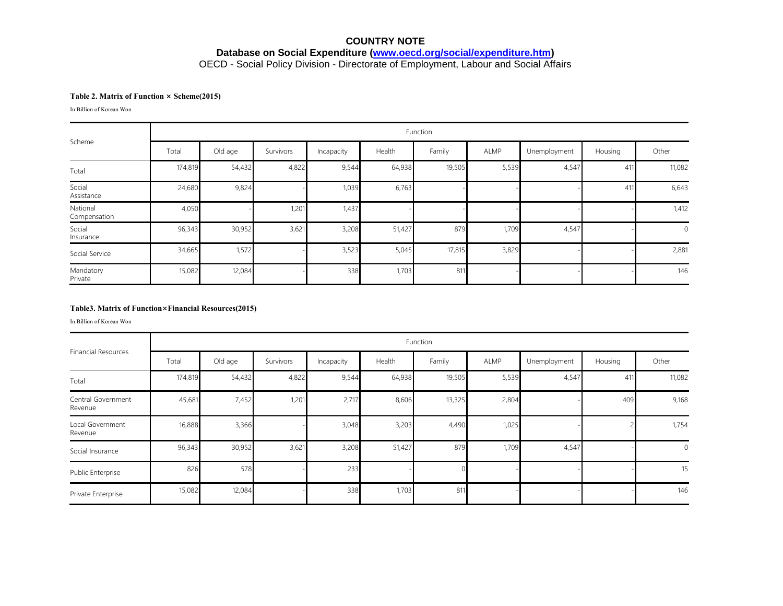# **COUNTRY NOTE Database on Social Expenditure [\(www.oecd.org/social/expenditure.htm\)](http://www.oecd.org/social/expenditure.htm)** OECD - Social Policy Division - Directorate of Employment, Labour and Social Affairs

### **Table 2. Matrix of Function × Scheme(2015)**

In Billion of Korean Won

|                          | Function |         |           |            |        |        |       |              |         |             |  |
|--------------------------|----------|---------|-----------|------------|--------|--------|-------|--------------|---------|-------------|--|
| Scheme                   | Total    | Old age | Survivors | Incapacity | Health | Family | ALMP  | Unemployment | Housing | Other       |  |
| Total                    | 174,819  | 54,432  | 4,822     | 9,544      | 64,938 | 19,505 | 5,539 | 4,547        | 411     | 11,082      |  |
| Social<br>Assistance     | 24,680   | 9,824   |           | 1,039      | 6,763  |        |       |              | 411     | 6,643       |  |
| National<br>Compensation | 4,050    |         | 1,201     | 1,437      |        |        |       |              |         | 1,412       |  |
| Social<br>Insurance      | 96,343   | 30,952  | 3,621     | 3,208      | 51,427 | 879    | 1,709 | 4,547        |         | $\mathbf 0$ |  |
| Social Service           | 34,665   | 1,572   |           | 3,523      | 5,045  | 17,815 | 3,829 |              |         | 2,881       |  |
| Mandatory<br>Private     | 15,082   | 12,084  |           | 338        | 1,703  | 811    |       |              |         | 146         |  |

#### **Table3. Matrix of Function×Financial Resources(2015)**

In Billion of Korean Won

|                               | Function |         |           |            |        |        |       |              |         |                |  |  |
|-------------------------------|----------|---------|-----------|------------|--------|--------|-------|--------------|---------|----------------|--|--|
| <b>Financial Resources</b>    | Total    | Old age | Survivors | Incapacity | Health | Family | ALMP  | Unemployment | Housing | Other          |  |  |
| Total                         | 174,819  | 54,432  | 4,822     | 9,544      | 64,938 | 19,505 | 5,539 | 4,547        | 411     | 11,082         |  |  |
| Central Government<br>Revenue | 45,681   | 7,452   | 1,201     | 2,717      | 8,606  | 13,325 | 2,804 |              | 409     | 9,168          |  |  |
| Local Government<br>Revenue   | 16,888   | 3,366   |           | 3,048      | 3,203  | 4,490  | 1,025 |              |         | 1,754          |  |  |
| Social Insurance              | 96,343   | 30,952  | 3,621     | 3,208      | 51,427 | 879    | 1,709 | 4,547        |         | $\overline{0}$ |  |  |
| Public Enterprise             | 826      | 578     |           | 233        |        |        |       |              |         | 15             |  |  |
| Private Enterprise            | 15,082   | 12,084  |           | 338        | 1,703  | 811    |       |              |         | 146            |  |  |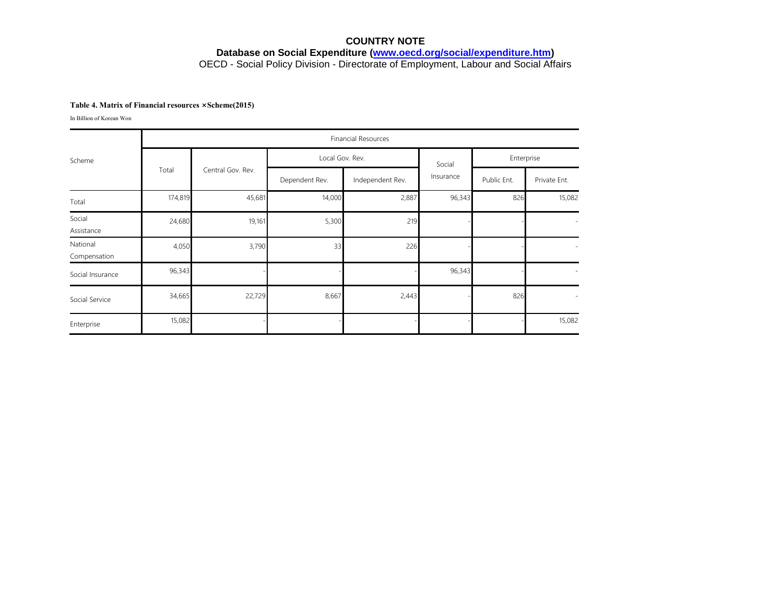# **COUNTRY NOTE Database on Social Expenditure [\(www.oecd.org/social/expenditure.htm\)](http://www.oecd.org/social/expenditure.htm)** OECD - Social Policy Division - Directorate of Employment, Labour and Social Affairs

#### **Table 4. Matrix of Financial resources ×Scheme(2015)**

In Billion of Korean Won

|                          | <b>Financial Resources</b> |                   |                 |                  |           |             |              |  |  |  |  |
|--------------------------|----------------------------|-------------------|-----------------|------------------|-----------|-------------|--------------|--|--|--|--|
| Scheme                   |                            | Central Gov. Rev. | Local Gov. Rev. |                  | Social    | Enterprise  |              |  |  |  |  |
|                          | Total                      |                   | Dependent Rev.  | Independent Rev. | Insurance | Public Ent. | Private Ent. |  |  |  |  |
| Total                    | 174,819                    | 45,681            | 14,000          | 2,887            | 96,343    | 826         | 15,082       |  |  |  |  |
| Social<br>Assistance     | 24,680                     | 19,161            | 5,300           | 219              |           |             | $\sim$       |  |  |  |  |
| National<br>Compensation | 4,050                      | 3,790             | 33              | 226              |           |             | $\sim$       |  |  |  |  |
| Social Insurance         | 96,343                     |                   |                 |                  | 96,343    |             | $\sim$       |  |  |  |  |
| Social Service           | 34,665                     | 22,729            | 8,667           | 2,443            |           | 826         | $\sim$       |  |  |  |  |
| Enterprise               | 15,082                     |                   |                 |                  |           |             | 15,082       |  |  |  |  |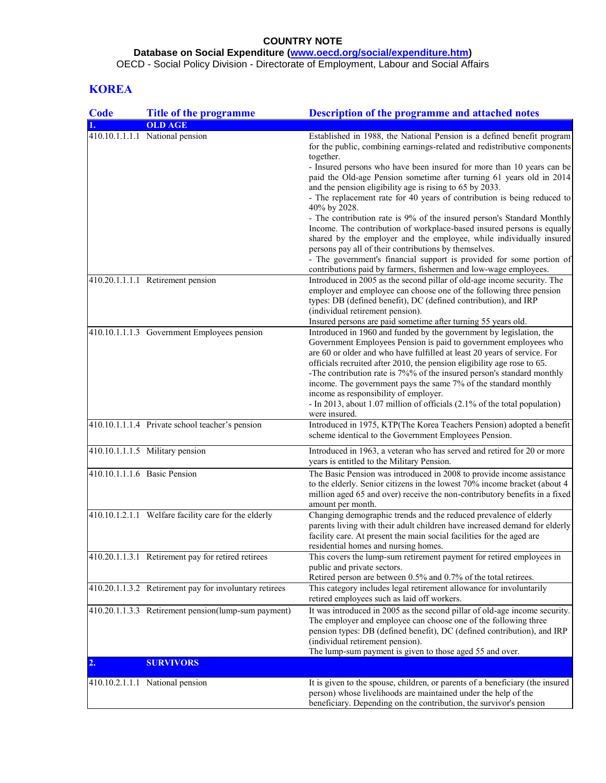## **Database on Social Expenditure [\(www.oecd.org/social/expenditure.htm\)](http://www.oecd.org/social/expenditure.htm)**

OECD - Social Policy Division - Directorate of Employment, Labour and Social Affairs

# **KOREA**

| <b>Code</b> | <b>Title of the programme</b>                          | <b>Description of the programme and attached notes</b>                                                                                                                                                                                                                                                                                                                                                                                                                                                                                                            |
|-------------|--------------------------------------------------------|-------------------------------------------------------------------------------------------------------------------------------------------------------------------------------------------------------------------------------------------------------------------------------------------------------------------------------------------------------------------------------------------------------------------------------------------------------------------------------------------------------------------------------------------------------------------|
|             | <b>OLD AGE</b>                                         |                                                                                                                                                                                                                                                                                                                                                                                                                                                                                                                                                                   |
|             | 410.10.1.1.1.1 National pension                        | Established in 1988, the National Pension is a defined benefit program<br>for the public, combining earnings-related and redistributive components<br>together.<br>- Insured persons who have been insured for more than 10 years can be                                                                                                                                                                                                                                                                                                                          |
|             |                                                        | paid the Old-age Pension sometime after turning 61 years old in 2014<br>and the pension eligibility age is rising to 65 by 2033.<br>- The replacement rate for 40 years of contribution is being reduced to<br>40% by 2028.                                                                                                                                                                                                                                                                                                                                       |
|             |                                                        | - The contribution rate is 9% of the insured person's Standard Monthly<br>Income. The contribution of workplace-based insured persons is equally<br>shared by the employer and the employee, while individually insured<br>persons pay all of their contributions by themselves.                                                                                                                                                                                                                                                                                  |
|             |                                                        | - The government's financial support is provided for some portion of<br>contributions paid by farmers, fishermen and low-wage employees.                                                                                                                                                                                                                                                                                                                                                                                                                          |
|             | 410.20.1.1.1.1 Retirement pension                      | Introduced in 2005 as the second pillar of old-age income security. The<br>employer and employee can choose one of the following three pension<br>types: DB (defined benefit), DC (defined contribution), and IRP<br>(individual retirement pension).<br>Insured persons are paid sometime after turning 55 years old.                                                                                                                                                                                                                                            |
|             | 410.10.1.1.1.3 Government Employees pension            | Introduced in 1960 and funded by the government by legislation, the<br>Government Employees Pension is paid to government employees who<br>are 60 or older and who have fulfilled at least 20 years of service. For<br>officials recruited after 2010, the pension eligibility age rose to 65.<br>-The contribution rate is 7%% of the insured person's standard monthly<br>income. The government pays the same 7% of the standard monthly<br>income as responsibility of employer.<br>- In 2013, about 1.07 million of officials (2.1% of the total population) |
|             | 410.10.1.1.1.4 Private school teacher's pension        | were insured.<br>Introduced in 1975, KTP(The Korea Teachers Pension) adopted a benefit<br>scheme identical to the Government Employees Pension.                                                                                                                                                                                                                                                                                                                                                                                                                   |
|             | 410.10.1.1.1.5 Military pension                        | Introduced in 1963, a veteran who has served and retired for 20 or more<br>years is entitled to the Military Pension.                                                                                                                                                                                                                                                                                                                                                                                                                                             |
|             | 410.10.1.1.1.6 Basic Pension                           | The Basic Pension was introduced in 2008 to provide income assistance<br>to the elderly. Senior citizens in the lowest 70% income bracket (about 4<br>million aged 65 and over) receive the non-contributory benefits in a fixed<br>amount per month.                                                                                                                                                                                                                                                                                                             |
|             | 410.10.1.2.1.1 Welfare facility care for the elderly   | Changing demographic trends and the reduced prevalence of elderly<br>parents living with their adult children have increased demand for elderly<br>facility care. At present the main social facilities for the aged are<br>residential homes and nursing homes.                                                                                                                                                                                                                                                                                                  |
|             | 410.20.1.1.3.1 Retirement pay for retired retirees     | This covers the lump-sum retirement payment for retired employees in<br>public and private sectors.<br>Retired person are between 0.5% and 0.7% of the total retirees.                                                                                                                                                                                                                                                                                                                                                                                            |
|             | 410.20.1.1.3.2 Retirement pay for involuntary retirees | This category includes legal retirement allowance for involuntarily<br>retired employees such as laid off workers.                                                                                                                                                                                                                                                                                                                                                                                                                                                |
|             | 410.20.1.1.3.3 Retirement pension(lump-sum payment)    | It was introduced in 2005 as the second pillar of old-age income security.<br>The employer and employee can choose one of the following three<br>pension types: DB (defined benefit), DC (defined contribution), and IRP<br>(individual retirement pension).<br>The lump-sum payment is given to those aged 55 and over.                                                                                                                                                                                                                                          |
| 2.          | <b>SURVIVORS</b>                                       |                                                                                                                                                                                                                                                                                                                                                                                                                                                                                                                                                                   |
|             | 410.10.2.1.1.1 National pension                        | It is given to the spouse, children, or parents of a beneficiary (the insured<br>person) whose livelihoods are maintained under the help of the                                                                                                                                                                                                                                                                                                                                                                                                                   |
|             |                                                        | beneficiary. Depending on the contribution, the survivor's pension                                                                                                                                                                                                                                                                                                                                                                                                                                                                                                |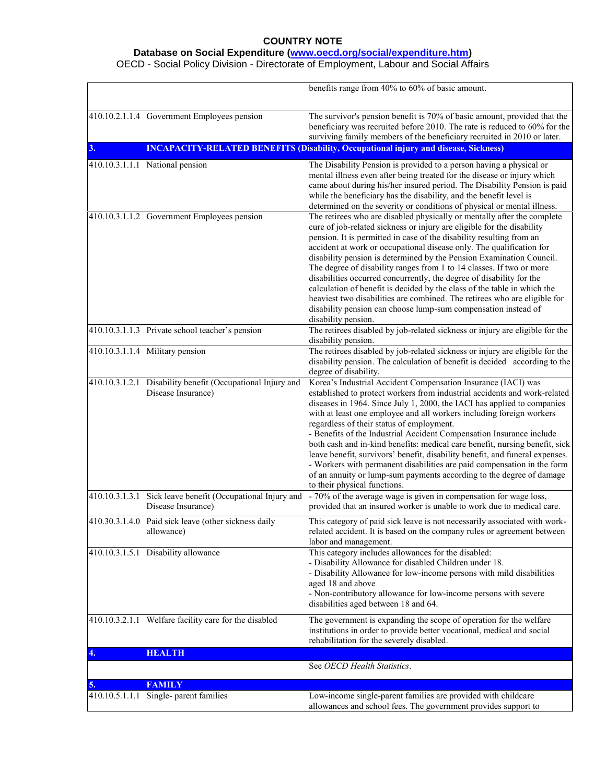## **Database on Social Expenditure [\(www.oecd.org/social/expenditure.htm\)](http://www.oecd.org/social/expenditure.htm)**

OECD - Social Policy Division - Directorate of Employment, Labour and Social Affairs

|    |                                                                                  | benefits range from 40% to 60% of basic amount.                                                                                                                                                                                                                                                                                                                                                                                                                                                                                                                                                                                                                                                                                                                             |
|----|----------------------------------------------------------------------------------|-----------------------------------------------------------------------------------------------------------------------------------------------------------------------------------------------------------------------------------------------------------------------------------------------------------------------------------------------------------------------------------------------------------------------------------------------------------------------------------------------------------------------------------------------------------------------------------------------------------------------------------------------------------------------------------------------------------------------------------------------------------------------------|
|    | 410.10.2.1.1.4 Government Employees pension                                      | The survivor's pension benefit is 70% of basic amount, provided that the<br>beneficiary was recruited before 2010. The rate is reduced to 60% for the<br>surviving family members of the beneficiary recruited in 2010 or later.                                                                                                                                                                                                                                                                                                                                                                                                                                                                                                                                            |
| 3. |                                                                                  | <b>INCAPACITY-RELATED BENEFITS (Disability, Occupational injury and disease, Sickness)</b>                                                                                                                                                                                                                                                                                                                                                                                                                                                                                                                                                                                                                                                                                  |
|    | 410.10.3.1.1.1 National pension                                                  | The Disability Pension is provided to a person having a physical or<br>mental illness even after being treated for the disease or injury which<br>came about during his/her insured period. The Disability Pension is paid<br>while the beneficiary has the disability, and the benefit level is<br>determined on the severity or conditions of physical or mental illness.                                                                                                                                                                                                                                                                                                                                                                                                 |
|    | 410.10.3.1.1.2 Government Employees pension                                      | The retirees who are disabled physically or mentally after the complete<br>cure of job-related sickness or injury are eligible for the disability<br>pension. It is permitted in case of the disability resulting from an<br>accident at work or occupational disease only. The qualification for<br>disability pension is determined by the Pension Examination Council.<br>The degree of disability ranges from 1 to 14 classes. If two or more<br>disabilities occurred concurrently, the degree of disability for the<br>calculation of benefit is decided by the class of the table in which the<br>heaviest two disabilities are combined. The retirees who are eligible for<br>disability pension can choose lump-sum compensation instead of<br>disability pension. |
|    | 410.10.3.1.1.3 Private school teacher's pension                                  | The retirees disabled by job-related sickness or injury are eligible for the<br>disability pension.                                                                                                                                                                                                                                                                                                                                                                                                                                                                                                                                                                                                                                                                         |
|    | 410.10.3.1.1.4 Military pension                                                  | The retirees disabled by job-related sickness or injury are eligible for the<br>disability pension. The calculation of benefit is decided according to the<br>degree of disability.                                                                                                                                                                                                                                                                                                                                                                                                                                                                                                                                                                                         |
|    | 410.10.3.1.2.1 Disability benefit (Occupational Injury and<br>Disease Insurance) | Korea's Industrial Accident Compensation Insurance (IACI) was<br>established to protect workers from industrial accidents and work-related<br>diseases in 1964. Since July 1, 2000, the IACI has applied to companies<br>with at least one employee and all workers including foreign workers<br>regardless of their status of employment.<br>- Benefits of the Industrial Accident Compensation Insurance include<br>both cash and in-kind benefits: medical care benefit, nursing benefit, sick<br>leave benefit, survivors' benefit, disability benefit, and funeral expenses.<br>- Workers with permanent disabilities are paid compensation in the form<br>of an annuity or lump-sum payments according to the degree of damage<br>to their physical functions.        |
|    | 410.10.3.1.3.1 Sick leave benefit (Occupational Injury and<br>Disease Insurance) | - 70% of the average wage is given in compensation for wage loss,<br>provided that an insured worker is unable to work due to medical care.                                                                                                                                                                                                                                                                                                                                                                                                                                                                                                                                                                                                                                 |
|    | 410.30.3.1.4.0 Paid sick leave (other sickness daily<br>allowance)               | This category of paid sick leave is not necessarily associated with work-<br>related accident. It is based on the company rules or agreement between<br>labor and management.                                                                                                                                                                                                                                                                                                                                                                                                                                                                                                                                                                                               |
|    | 410.10.3.1.5.1 Disability allowance                                              | This category includes allowances for the disabled:<br>- Disability Allowance for disabled Children under 18.<br>- Disability Allowance for low-income persons with mild disabilities<br>aged 18 and above<br>- Non-contributory allowance for low-income persons with severe<br>disabilities aged between 18 and 64.                                                                                                                                                                                                                                                                                                                                                                                                                                                       |
|    | 410.10.3.2.1.1 Welfare facility care for the disabled                            | The government is expanding the scope of operation for the welfare<br>institutions in order to provide better vocational, medical and social<br>rehabilitation for the severely disabled.                                                                                                                                                                                                                                                                                                                                                                                                                                                                                                                                                                                   |
|    | <b>HEALTH</b>                                                                    |                                                                                                                                                                                                                                                                                                                                                                                                                                                                                                                                                                                                                                                                                                                                                                             |
|    |                                                                                  | See OECD Health Statistics.                                                                                                                                                                                                                                                                                                                                                                                                                                                                                                                                                                                                                                                                                                                                                 |
| 5. | <b>FAMILY</b>                                                                    |                                                                                                                                                                                                                                                                                                                                                                                                                                                                                                                                                                                                                                                                                                                                                                             |
|    | 410.10.5.1.1.1 Single- parent families                                           | Low-income single-parent families are provided with childcare<br>allowances and school fees. The government provides support to                                                                                                                                                                                                                                                                                                                                                                                                                                                                                                                                                                                                                                             |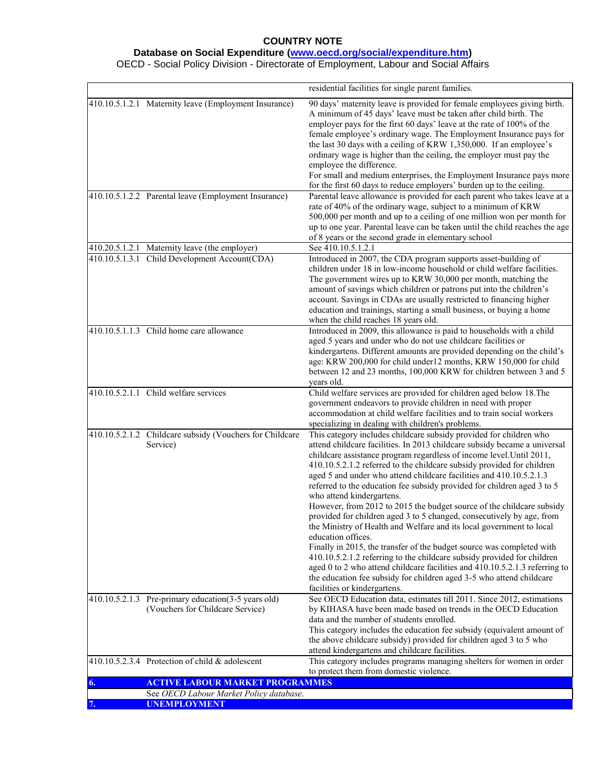## **Database on Social Expenditure [\(www.oecd.org/social/expenditure.htm\)](http://www.oecd.org/social/expenditure.htm)**

OECD - Social Policy Division - Directorate of Employment, Labour and Social Affairs

|    |                                                                                          | residential facilities for single parent families.                                                                                                                                                                                                                                                                                                                                                                                                                                                                                                                                                                                                                                                                                                                                                                                                                                                                                                                                                                                                                          |
|----|------------------------------------------------------------------------------------------|-----------------------------------------------------------------------------------------------------------------------------------------------------------------------------------------------------------------------------------------------------------------------------------------------------------------------------------------------------------------------------------------------------------------------------------------------------------------------------------------------------------------------------------------------------------------------------------------------------------------------------------------------------------------------------------------------------------------------------------------------------------------------------------------------------------------------------------------------------------------------------------------------------------------------------------------------------------------------------------------------------------------------------------------------------------------------------|
|    | 410.10.5.1.2.1 Maternity leave (Employment Insurance)                                    | 90 days' maternity leave is provided for female employees giving birth.<br>A minimum of 45 days' leave must be taken after child birth. The<br>employer pays for the first 60 days' leave at the rate of 100% of the<br>female employee's ordinary wage. The Employment Insurance pays for<br>the last 30 days with a ceiling of KRW 1,350,000. If an employee's<br>ordinary wage is higher than the ceiling, the employer must pay the<br>employee the difference.<br>For small and medium enterprises, the Employment Insurance pays more<br>for the first 60 days to reduce employers' burden up to the ceiling.                                                                                                                                                                                                                                                                                                                                                                                                                                                         |
|    | 410.10.5.1.2.2 Parental leave (Employment Insurance)                                     | Parental leave allowance is provided for each parent who takes leave at a<br>rate of 40% of the ordinary wage, subject to a minimum of KRW<br>500,000 per month and up to a ceiling of one million won per month for<br>up to one year. Parental leave can be taken until the child reaches the age<br>of 8 years or the second grade in elementary school                                                                                                                                                                                                                                                                                                                                                                                                                                                                                                                                                                                                                                                                                                                  |
|    | 410.20.5.1.2.1 Maternity leave (the employer)                                            | See 410.10.5.1.2.1                                                                                                                                                                                                                                                                                                                                                                                                                                                                                                                                                                                                                                                                                                                                                                                                                                                                                                                                                                                                                                                          |
|    | 410.10.5.1.3.1 Child Development Account(CDA)                                            | Introduced in 2007, the CDA program supports asset-building of<br>children under 18 in low-income household or child welfare facilities.<br>The government wires up to KRW 30,000 per month, matching the<br>amount of savings which children or patrons put into the children's<br>account. Savings in CDAs are usually restricted to financing higher<br>education and trainings, starting a small business, or buying a home<br>when the child reaches 18 years old.                                                                                                                                                                                                                                                                                                                                                                                                                                                                                                                                                                                                     |
|    | 410.10.5.1.1.3 Child home care allowance                                                 | Introduced in 2009, this allowance is paid to households with a child<br>aged 5 years and under who do not use childcare facilities or<br>kindergartens. Different amounts are provided depending on the child's<br>age: KRW 200,000 for child under12 months, KRW 150,000 for child<br>between 12 and 23 months, 100,000 KRW for children between 3 and 5<br>years old.                                                                                                                                                                                                                                                                                                                                                                                                                                                                                                                                                                                                                                                                                                    |
|    | 410.10.5.2.1.1 Child welfare services                                                    | Child welfare services are provided for children aged below 18. The<br>government endeavors to provide children in need with proper<br>accommodation at child welfare facilities and to train social workers<br>specializing in dealing with children's problems.                                                                                                                                                                                                                                                                                                                                                                                                                                                                                                                                                                                                                                                                                                                                                                                                           |
|    | 410.10.5.2.1.2 Childcare subsidy (Vouchers for Childcare<br>Service)                     | This category includes childcare subsidy provided for children who<br>attend childcare facilities. In 2013 childcare subsidy became a universal<br>childcare assistance program regardless of income level. Until 2011,<br>410.10.5.2.1.2 referred to the childcare subsidy provided for children<br>aged 5 and under who attend childcare facilities and 410.10.5.2.1.3<br>referred to the education fee subsidy provided for children aged 3 to 5<br>who attend kindergartens.<br>However, from 2012 to 2015 the budget source of the childcare subsidy<br>provided for children aged 3 to 5 changed, consecutively by age, from<br>the Ministry of Health and Welfare and its local government to local<br>education offices.<br>Finally in 2015, the transfer of the budget source was completed with<br>410.10.5.2.1.2 referring to the childcare subsidy provided for children<br>aged 0 to 2 who attend childcare facilities and 410.10.5.2.1.3 referring to<br>the education fee subsidy for children aged 3-5 who attend childcare<br>facilities or kindergartens. |
|    | 410.10.5.2.1.3 Pre-primary education (3-5 years old)<br>(Vouchers for Childcare Service) | See OECD Education data, estimates till 2011. Since 2012, estimations<br>by KIHASA have been made based on trends in the OECD Education<br>data and the number of students enrolled.<br>This category includes the education fee subsidy (equivalent amount of<br>the above childcare subsidy) provided for children aged 3 to 5 who<br>attend kindergartens and childcare facilities.                                                                                                                                                                                                                                                                                                                                                                                                                                                                                                                                                                                                                                                                                      |
|    | 410.10.5.2.3.4 Protection of child & adolescent                                          | This category includes programs managing shelters for women in order<br>to protect them from domestic violence.                                                                                                                                                                                                                                                                                                                                                                                                                                                                                                                                                                                                                                                                                                                                                                                                                                                                                                                                                             |
| 6. | <b>ACTIVE LABOUR MARKET PROGRAMMES</b>                                                   |                                                                                                                                                                                                                                                                                                                                                                                                                                                                                                                                                                                                                                                                                                                                                                                                                                                                                                                                                                                                                                                                             |
|    | See OECD Labour Market Policy database.                                                  |                                                                                                                                                                                                                                                                                                                                                                                                                                                                                                                                                                                                                                                                                                                                                                                                                                                                                                                                                                                                                                                                             |
|    | <b>UNEMPLOYMENT</b>                                                                      |                                                                                                                                                                                                                                                                                                                                                                                                                                                                                                                                                                                                                                                                                                                                                                                                                                                                                                                                                                                                                                                                             |